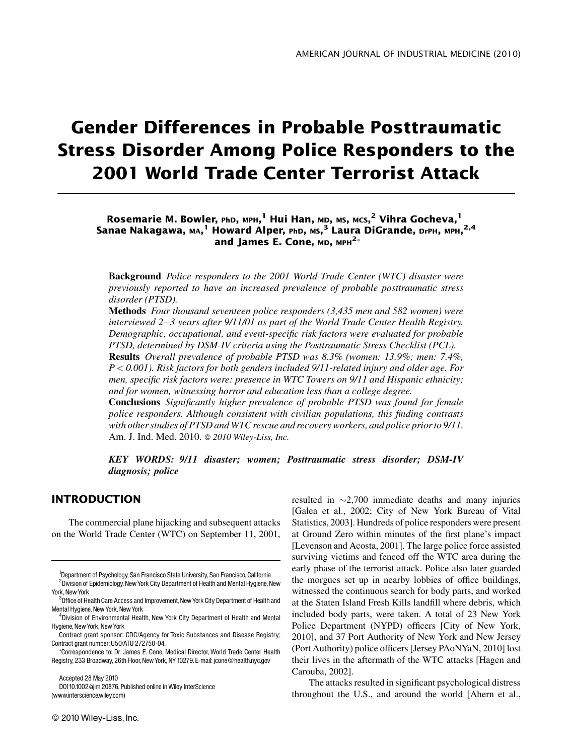# Gender Differences in Probable Posttraumatic Stress Disorder Among Police Responders to the 2001 World Trade Center Terrorist Attack

Rosemarie M. Bowler, PhD, мрн,<sup>1</sup> Hui Han, мd, мs, мcs,<sup>2</sup> Vihra Gocheva,<sup>1</sup> Sanae Nakagawa, <sub>MA,</sub> ' Howard Alper, <sub>PhD, MS,</sub>3 Laura DiGrande, <sub>DrPH,</sub> мрн,<sup>2,4</sup> and James E. Cone, MD, MPH $^{2*}$ 

Background Police responders to the 2001 World Trade Center (WTC) disaster were previously reported to have an increased prevalence of probable posttraumatic stress disorder (PTSD).

Methods Four thousand seventeen police responders (3,435 men and 582 women) were interviewed 2–3 years after 9/11/01 as part of the World Trade Center Health Registry. Demographic, occupational, and event-specific risk factors were evaluated for probable PTSD, determined by DSM-IV criteria using the Posttraumatic Stress Checklist (PCL). Results Overall prevalence of probable PTSD was 8.3% (women: 13.9%; men: 7.4%, P < 0.001). Risk factors for both genders included 9/11-related injury and older age. For

men, specific risk factors were: presence in WTC Towers on 9/11 and Hispanic ethnicity; and for women, witnessing horror and education less than a college degree.

Conclusions Significantly higher prevalence of probable PTSD was found for female police responders. Although consistent with civilian populations, this finding contrasts with other studies of PTSD and WTC rescue and recovery workers, and police prior to 9/11. Am. J. Ind. Med. 2010. © 2010 Wiley-Liss, Inc.

KEY WORDS: 9/11 disaster; women; Posttraumatic stress disorder; DSM-IV diagnosis; police

# INTRODUCTION

The commercial plane hijacking and subsequent attacks on the World Trade Center (WTC) on September 11, 2001,

Accepted 28 May 2010 DOI 10.1002/ajim.20876. Published online in Wiley InterScience (www.interscience.wiley.com)

2010 Wiley-Liss,Inc.

resulted in  $\sim$ 2,700 immediate deaths and many injuries [Galea et al., 2002; City of New York Bureau of Vital Statistics, 2003]. Hundreds of police responders were present at Ground Zero within minutes of the first plane's impact [Levenson and Acosta, 2001]. The large police force assisted surviving victims and fenced off the WTC area during the early phase of the terrorist attack. Police also later guarded the morgues set up in nearby lobbies of office buildings, witnessed the continuous search for body parts, and worked at the Staten Island Fresh Kills landfill where debris, which included body parts, were taken. A total of 23 New York Police Department (NYPD) officers [City of New York, 2010], and 37 Port Authority of New York and New Jersey (Port Authority) police officers [Jersey PAoNYaN, 2010] lost their lives in the aftermath of the WTC attacks [Hagen and Carouba, 2002].

The attacks resulted in significant psychological distress throughout the U.S., and around the world [Ahern et al.,

<sup>&</sup>lt;sup>1</sup>Department of Psychology, San Francisco State University, San Francisco, California 2 Division of Epidemiology, New York City Department of Health and Mental Hygiene, New York, New York

 $3$ Office of Health Care Access and Improvement, New York City Department of Health and Mental Hygiene, New York, New York <sup>4</sup>

<sup>&</sup>lt;sup>4</sup> Division of Environmental Health, New York City Department of Health and Mental Hygiene, New York, New York

Contract grant sponsor: CDC/Agency for Toxic Substances and Disease Registry; Contract grant number: U50/ATU 272750-04.

<sup>\*</sup>Correspondence to: Dr. James E. Cone, Medical Director, World Trade Center Health Registry, 233 Broadway, 26th Floor, New York, NY10279. E-mail: jcone@health.nyc.gov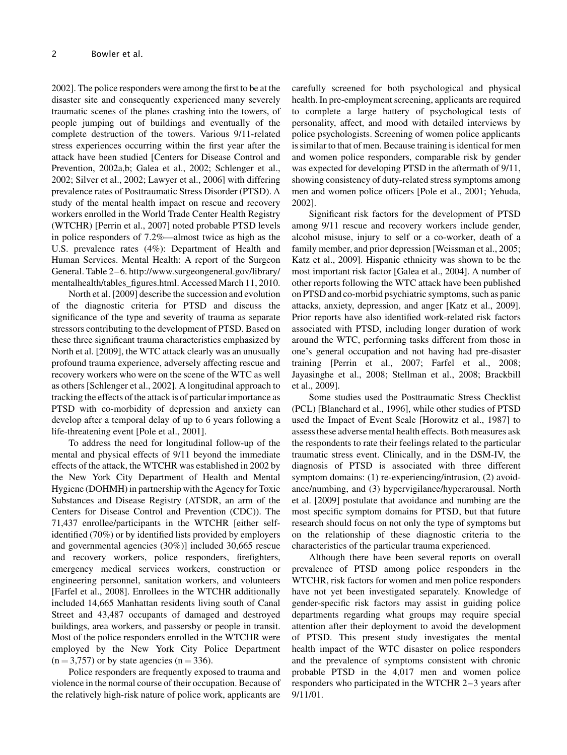2002]. The police responders were among the first to be at the disaster site and consequently experienced many severely traumatic scenes of the planes crashing into the towers, of people jumping out of buildings and eventually of the complete destruction of the towers. Various 9/11-related stress experiences occurring within the first year after the attack have been studied [Centers for Disease Control and Prevention, 2002a,b; Galea et al., 2002; Schlenger et al., 2002; Silver et al., 2002; Lawyer et al., 2006] with differing prevalence rates of Posttraumatic Stress Disorder (PTSD). A study of the mental health impact on rescue and recovery workers enrolled in the World Trade Center Health Registry (WTCHR) [Perrin et al., 2007] noted probable PTSD levels in police responders of 7.2%—almost twice as high as the U.S. prevalence rates (4%): Department of Health and Human Services. Mental Health: A report of the Surgeon General. Table 2–6. http://www.surgeongeneral.gov/library/ mentalhealth/tables\_figures.html. Accessed March 11, 2010.

North et al. [2009] describe the succession and evolution of the diagnostic criteria for PTSD and discuss the significance of the type and severity of trauma as separate stressors contributing to the development of PTSD. Based on these three significant trauma characteristics emphasized by North et al. [2009], the WTC attack clearly was an unusually profound trauma experience, adversely affecting rescue and recovery workers who were on the scene of the WTC as well as others [Schlenger et al., 2002]. A longitudinal approach to tracking the effects of the attack is of particular importance as PTSD with co-morbidity of depression and anxiety can develop after a temporal delay of up to 6 years following a life-threatening event [Pole et al., 2001].

To address the need for longitudinal follow-up of the mental and physical effects of 9/11 beyond the immediate effects of the attack, the WTCHR was established in 2002 by the New York City Department of Health and Mental Hygiene (DOHMH) in partnership with the Agency for Toxic Substances and Disease Registry (ATSDR, an arm of the Centers for Disease Control and Prevention (CDC)). The 71,437 enrollee/participants in the WTCHR [either selfidentified (70%) or by identified lists provided by employers and governmental agencies (30%)] included 30,665 rescue and recovery workers, police responders, firefighters, emergency medical services workers, construction or engineering personnel, sanitation workers, and volunteers [Farfel et al., 2008]. Enrollees in the WTCHR additionally included 14,665 Manhattan residents living south of Canal Street and 43,487 occupants of damaged and destroyed buildings, area workers, and passersby or people in transit. Most of the police responders enrolled in the WTCHR were employed by the New York City Police Department  $(n = 3,757)$  or by state agencies  $(n = 336)$ .

Police responders are frequently exposed to trauma and violence in the normal course of their occupation. Because of the relatively high-risk nature of police work, applicants are

carefully screened for both psychological and physical health. In pre-employment screening, applicants are required to complete a large battery of psychological tests of personality, affect, and mood with detailed interviews by police psychologists. Screening of women police applicants is similar to that of men. Because training is identical for men and women police responders, comparable risk by gender was expected for developing PTSD in the aftermath of 9/11, showing consistency of duty-related stress symptoms among men and women police officers [Pole et al., 2001; Yehuda, 2002].

Significant risk factors for the development of PTSD among 9/11 rescue and recovery workers include gender, alcohol misuse, injury to self or a co-worker, death of a family member, and prior depression [Weissman et al., 2005; Katz et al., 2009]. Hispanic ethnicity was shown to be the most important risk factor [Galea et al., 2004]. A number of other reports following the WTC attack have been published on PTSD and co-morbid psychiatric symptoms, such as panic attacks, anxiety, depression, and anger [Katz et al., 2009]. Prior reports have also identified work-related risk factors associated with PTSD, including longer duration of work around the WTC, performing tasks different from those in one's general occupation and not having had pre-disaster training [Perrin et al., 2007; Farfel et al., 2008; Jayasinghe et al., 2008; Stellman et al., 2008; Brackbill et al., 2009].

Some studies used the Posttraumatic Stress Checklist (PCL) [Blanchard et al., 1996], while other studies of PTSD used the Impact of Event Scale [Horowitz et al., 1987] to assess these adverse mental health effects. Both measures ask the respondents to rate their feelings related to the particular traumatic stress event. Clinically, and in the DSM-IV, the diagnosis of PTSD is associated with three different symptom domains: (1) re-experiencing/intrusion, (2) avoidance/numbing, and (3) hypervigilance/hyperarousal. North et al. [2009] postulate that avoidance and numbing are the most specific symptom domains for PTSD, but that future research should focus on not only the type of symptoms but on the relationship of these diagnostic criteria to the characteristics of the particular trauma experienced.

Although there have been several reports on overall prevalence of PTSD among police responders in the WTCHR, risk factors for women and men police responders have not yet been investigated separately. Knowledge of gender-specific risk factors may assist in guiding police departments regarding what groups may require special attention after their deployment to avoid the development of PTSD. This present study investigates the mental health impact of the WTC disaster on police responders and the prevalence of symptoms consistent with chronic probable PTSD in the 4,017 men and women police responders who participated in the WTCHR 2–3 years after 9/11/01.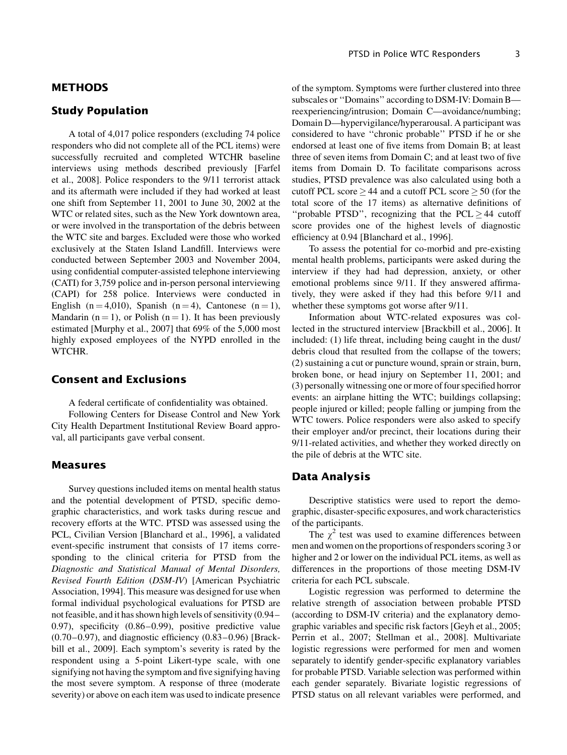### METHODS

## Study Population

A total of 4,017 police responders (excluding 74 police responders who did not complete all of the PCL items) were successfully recruited and completed WTCHR baseline interviews using methods described previously [Farfel et al., 2008]. Police responders to the 9/11 terrorist attack and its aftermath were included if they had worked at least one shift from September 11, 2001 to June 30, 2002 at the WTC or related sites, such as the New York downtown area, or were involved in the transportation of the debris between the WTC site and barges. Excluded were those who worked exclusively at the Staten Island Landfill. Interviews were conducted between September 2003 and November 2004, using confidential computer-assisted telephone interviewing (CATI) for 3,759 police and in-person personal interviewing (CAPI) for 258 police. Interviews were conducted in English (n = 4,010), Spanish (n = 4), Cantonese (n = 1), Mandarin (n = 1), or Polish (n = 1). It has been previously estimated [Murphy et al., 2007] that 69% of the 5,000 most highly exposed employees of the NYPD enrolled in the WTCHR.

## Consent and Exclusions

A federal certificate of confidentiality was obtained.

Following Centers for Disease Control and New York City Health Department Institutional Review Board approval, all participants gave verbal consent.

## Measures

Survey questions included items on mental health status and the potential development of PTSD, specific demographic characteristics, and work tasks during rescue and recovery efforts at the WTC. PTSD was assessed using the PCL, Civilian Version [Blanchard et al., 1996], a validated event-specific instrument that consists of 17 items corresponding to the clinical criteria for PTSD from the Diagnostic and Statistical Manual of Mental Disorders, Revised Fourth Edition (DSM-IV) [American Psychiatric Association, 1994]. This measure was designed for use when formal individual psychological evaluations for PTSD are not feasible, and it has shown high levels of sensitivity (0.94– 0.97), specificity (0.86–0.99), positive predictive value (0.70–0.97), and diagnostic efficiency (0.83–0.96) [Brackbill et al., 2009]. Each symptom's severity is rated by the respondent using a 5-point Likert-type scale, with one signifying not having the symptom and five signifying having the most severe symptom. A response of three (moderate severity) or above on each item was used to indicate presence

of the symptom. Symptoms were further clustered into three subscales or ''Domains'' according to DSM-IV: Domain B reexperiencing/intrusion; Domain C—avoidance/numbing; Domain D—hypervigilance/hyperarousal. A participant was considered to have ''chronic probable'' PTSD if he or she endorsed at least one of five items from Domain B; at least three of seven items from Domain C; and at least two of five items from Domain D. To facilitate comparisons across studies, PTSD prevalence was also calculated using both a cutoff PCL score  $> 44$  and a cutoff PCL score  $> 50$  (for the total score of the 17 items) as alternative definitions of "probable PTSD", recognizing that the PCL  $\geq$  44 cutoff score provides one of the highest levels of diagnostic efficiency at 0.94 [Blanchard et al., 1996].

To assess the potential for co-morbid and pre-existing mental health problems, participants were asked during the interview if they had had depression, anxiety, or other emotional problems since 9/11. If they answered affirmatively, they were asked if they had this before 9/11 and whether these symptoms got worse after 9/11.

Information about WTC-related exposures was collected in the structured interview [Brackbill et al., 2006]. It included: (1) life threat, including being caught in the dust/ debris cloud that resulted from the collapse of the towers; (2) sustaining a cut or puncture wound, sprain or strain, burn, broken bone, or head injury on September 11, 2001; and (3) personally witnessing one or more of four specified horror events: an airplane hitting the WTC; buildings collapsing; people injured or killed; people falling or jumping from the WTC towers. Police responders were also asked to specify their employer and/or precinct, their locations during their 9/11-related activities, and whether they worked directly on the pile of debris at the WTC site.

### Data Analysis

Descriptive statistics were used to report the demographic, disaster-specific exposures, and work characteristics of the participants.

The  $\chi^2$  test was used to examine differences between men and women on the proportions of responders scoring 3 or higher and 2 or lower on the individual PCL items, as well as differences in the proportions of those meeting DSM-IV criteria for each PCL subscale.

Logistic regression was performed to determine the relative strength of association between probable PTSD (according to DSM-IV criteria) and the explanatory demographic variables and specific risk factors [Geyh et al., 2005; Perrin et al., 2007; Stellman et al., 2008]. Multivariate logistic regressions were performed for men and women separately to identify gender-specific explanatory variables for probable PTSD. Variable selection was performed within each gender separately. Bivariate logistic regressions of PTSD status on all relevant variables were performed, and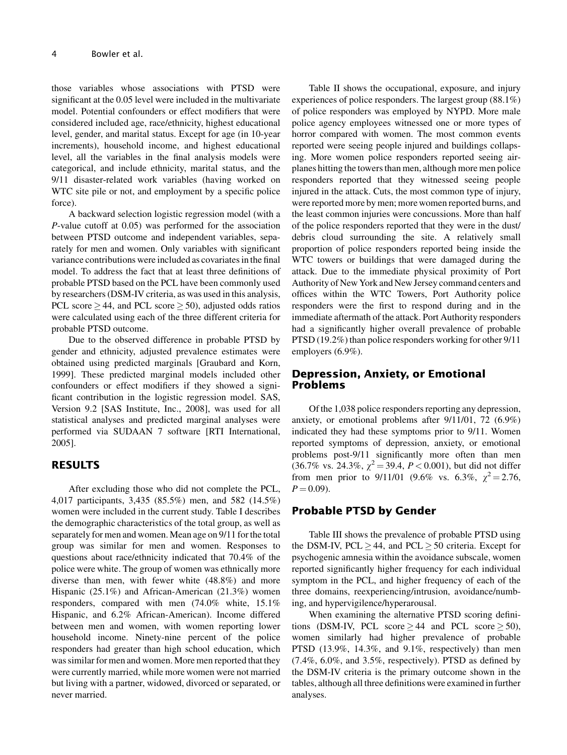those variables whose associations with PTSD were significant at the 0.05 level were included in the multivariate model. Potential confounders or effect modifiers that were considered included age, race/ethnicity, highest educational level, gender, and marital status. Except for age (in 10-year increments), household income, and highest educational level, all the variables in the final analysis models were categorical, and include ethnicity, marital status, and the 9/11 disaster-related work variables (having worked on WTC site pile or not, and employment by a specific police force).

A backward selection logistic regression model (with a P-value cutoff at 0.05) was performed for the association between PTSD outcome and independent variables, separately for men and women. Only variables with significant variance contributions were included as covariates in the final model. To address the fact that at least three definitions of probable PTSD based on the PCL have been commonly used by researchers (DSM-IV criteria, as was used in this analysis, PCL score  $\geq$  44, and PCL score  $\geq$  50), adjusted odds ratios were calculated using each of the three different criteria for probable PTSD outcome.

Due to the observed difference in probable PTSD by gender and ethnicity, adjusted prevalence estimates were obtained using predicted marginals [Graubard and Korn, 1999]. These predicted marginal models included other confounders or effect modifiers if they showed a significant contribution in the logistic regression model. SAS, Version 9.2 [SAS Institute, Inc., 2008], was used for all statistical analyses and predicted marginal analyses were performed via SUDAAN 7 software [RTI International, 2005].

# RESULTS

After excluding those who did not complete the PCL, 4,017 participants, 3,435 (85.5%) men, and 582 (14.5%) women were included in the current study. Table I describes the demographic characteristics of the total group, as well as separately for men and women. Mean age on 9/11 for the total group was similar for men and women. Responses to questions about race/ethnicity indicated that 70.4% of the police were white. The group of women was ethnically more diverse than men, with fewer white (48.8%) and more Hispanic (25.1%) and African-American (21.3%) women responders, compared with men (74.0% white, 15.1% Hispanic, and 6.2% African-American). Income differed between men and women, with women reporting lower household income. Ninety-nine percent of the police responders had greater than high school education, which was similar for men and women. More men reported that they were currently married, while more women were not married but living with a partner, widowed, divorced or separated, or never married.

Table II shows the occupational, exposure, and injury experiences of police responders. The largest group (88.1%) of police responders was employed by NYPD. More male police agency employees witnessed one or more types of horror compared with women. The most common events reported were seeing people injured and buildings collapsing. More women police responders reported seeing airplanes hitting the towers than men, although more men police responders reported that they witnessed seeing people injured in the attack. Cuts, the most common type of injury, were reported more by men; more women reported burns, and the least common injuries were concussions. More than half of the police responders reported that they were in the dust/ debris cloud surrounding the site. A relatively small proportion of police responders reported being inside the WTC towers or buildings that were damaged during the attack. Due to the immediate physical proximity of Port Authority of New York and New Jersey command centers and offices within the WTC Towers, Port Authority police responders were the first to respond during and in the immediate aftermath of the attack. Port Authority responders had a significantly higher overall prevalence of probable PTSD (19.2%) than police responders working for other 9/11 employers (6.9%).

# Depression, Anxiety, or Emotional Problems

Of the 1,038 police responders reporting any depression, anxiety, or emotional problems after 9/11/01, 72 (6.9%) indicated they had these symptoms prior to 9/11. Women reported symptoms of depression, anxiety, or emotional problems post-9/11 significantly more often than men (36.7% vs. 24.3%,  $\chi^2$  = 39.4,  $P$  < 0.001), but did not differ from men prior to 9/11/01 (9.6% vs. 6.3%,  $\chi^2 = 2.76$ ,  $P = 0.09$ ).

# Probable PTSD by Gender

Table III shows the prevalence of probable PTSD using the DSM-IV, PCL  $\geq$  44, and PCL  $\geq$  50 criteria. Except for psychogenic amnesia within the avoidance subscale, women reported significantly higher frequency for each individual symptom in the PCL, and higher frequency of each of the three domains, reexperiencing/intrusion, avoidance/numbing, and hypervigilence/hyperarousal.

When examining the alternative PTSD scoring definitions (DSM-IV, PCL score  $\geq$  44 and PCL score  $\geq$  50), women similarly had higher prevalence of probable PTSD (13.9%, 14.3%, and 9.1%, respectively) than men (7.4%, 6.0%, and 3.5%, respectively). PTSD as defined by the DSM-IV criteria is the primary outcome shown in the tables, although all three definitions were examined in further analyses.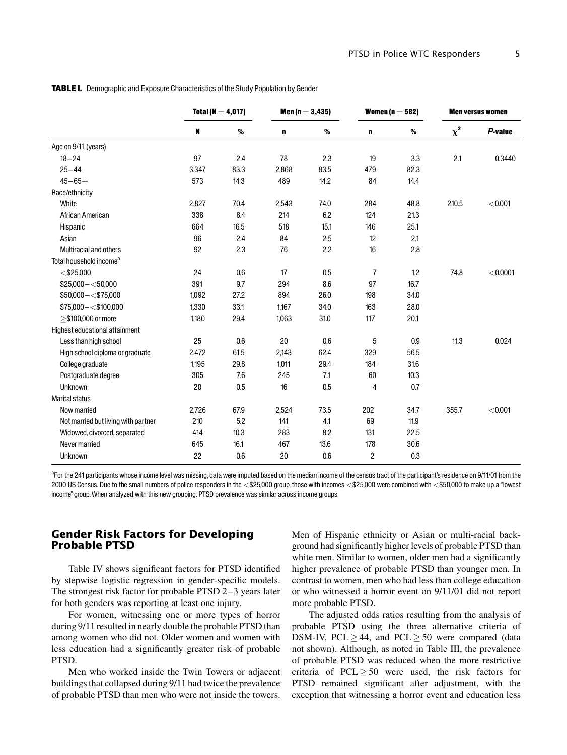|                                     | Total ( $N = 4,017$ ) | Men (n $= 3,435$ ) |       |      | Women ( $n = 582$ ) |      | <b>Men versus women</b> |          |
|-------------------------------------|-----------------------|--------------------|-------|------|---------------------|------|-------------------------|----------|
|                                     | N                     | $\%$               | n     | $\%$ | n                   | $\%$ | $\chi^2$                | P-value  |
| Age on 9/11 (years)                 |                       |                    |       |      |                     |      |                         |          |
| $18 - 24$                           | 97                    | 2.4                | 78    | 2.3  | 19                  | 3.3  | 2.1                     | 0.3440   |
| $25 - 44$                           | 3,347                 | 83.3               | 2,868 | 83.5 | 479                 | 82.3 |                         |          |
| $45 - 65 +$                         | 573                   | 14.3               | 489   | 14.2 | 84                  | 14.4 |                         |          |
| Race/ethnicity                      |                       |                    |       |      |                     |      |                         |          |
| White                               | 2,827                 | 70.4               | 2,543 | 74.0 | 284                 | 48.8 | 210.5                   | < 0.001  |
| African American                    | 338                   | 8.4                | 214   | 6.2  | 124                 | 21.3 |                         |          |
| Hispanic                            | 664                   | 16.5               | 518   | 15.1 | 146                 | 25.1 |                         |          |
| Asian                               | 96                    | 2.4                | 84    | 2.5  | 12                  | 2.1  |                         |          |
| <b>Multiracial and others</b>       | 92                    | 2.3                | 76    | 2.2  | 16                  | 2.8  |                         |          |
| Total household income <sup>a</sup> |                       |                    |       |      |                     |      |                         |          |
| $<$ \$25,000                        | 24                    | 0.6                | 17    | 0.5  | $\overline{7}$      | 1.2  | 74.8                    | < 0.0001 |
| $$25,000 - $50,000$                 | 391                   | 9.7                | 294   | 8.6  | 97                  | 16.7 |                         |          |
| $$50,000 - $75,000$                 | 1,092                 | 27.2               | 894   | 26.0 | 198                 | 34.0 |                         |          |
| $$75,000 - $100,000$                | 1,330                 | 33.1               | 1,167 | 34.0 | 163                 | 28.0 |                         |          |
| $>$ \$100,000 or more               | 1,180                 | 29.4               | 1,063 | 31.0 | 117                 | 20.1 |                         |          |
| Highest educational attainment      |                       |                    |       |      |                     |      |                         |          |
| Less than high school               | 25                    | 0.6                | 20    | 0.6  | 5                   | 0.9  | 11.3                    | 0.024    |
| High school diploma or graduate     | 2,472                 | 61.5               | 2,143 | 62.4 | 329                 | 56.5 |                         |          |
| College graduate                    | 1,195                 | 29.8               | 1,011 | 29.4 | 184                 | 31.6 |                         |          |
| Postgraduate degree                 | 305                   | 7.6                | 245   | 7.1  | 60                  | 10.3 |                         |          |
| Unknown                             | 20                    | 0.5                | 16    | 0.5  | 4                   | 0.7  |                         |          |
| <b>Marital status</b>               |                       |                    |       |      |                     |      |                         |          |
| Now married                         | 2,726                 | 67.9               | 2,524 | 73.5 | 202                 | 34.7 | 355.7                   | < 0.001  |
| Not married but living with partner | 210                   | 5.2                | 141   | 4.1  | 69                  | 11.9 |                         |          |
| Widowed, divorced, separated        | 414                   | 10.3               | 283   | 8.2  | 131                 | 22.5 |                         |          |
| Never married                       | 645                   | 16.1               | 467   | 13.6 | 178                 | 30.6 |                         |          |
| Unknown                             | 22                    | 0.6                | 20    | 0.6  | 2                   | 0.3  |                         |          |

**TABLE I.** Demographic and Exposure Characteristics of the Study Population by Gender

a<br><sup>a</sup> For the 241 participants whose income level was missing, data were imputed based on the median income of the census tract of the participant's residence on 9/11/01 from the 2000 US Census. Due to the small numbers of police responders in the <\$25,000 group, those with incomes <\$25,000 were combined with <\$50,000 to make up a ''lowest income'' group.When analyzed with this new grouping, PTSD prevalence was similar across income groups.

# Gender Risk Factors for Developing Probable PTSD

Table IV shows significant factors for PTSD identified by stepwise logistic regression in gender-specific models. The strongest risk factor for probable PTSD 2–3 years later for both genders was reporting at least one injury.

For women, witnessing one or more types of horror during 9/11 resulted in nearly double the probable PTSD than among women who did not. Older women and women with less education had a significantly greater risk of probable PTSD.

Men who worked inside the Twin Towers or adjacent buildings that collapsed during 9/11 had twice the prevalence of probable PTSD than men who were not inside the towers. Men of Hispanic ethnicity or Asian or multi-racial background had significantly higher levels of probable PTSD than white men. Similar to women, older men had a significantly higher prevalence of probable PTSD than younger men. In contrast to women, men who had less than college education or who witnessed a horror event on 9/11/01 did not report more probable PTSD.

The adjusted odds ratios resulting from the analysis of probable PTSD using the three alternative criteria of DSM-IV, PCL  $\geq$  44, and PCL  $\geq$  50 were compared (data not shown). Although, as noted in Table III, the prevalence of probable PTSD was reduced when the more restrictive criteria of  $PCL \ge 50$  were used, the risk factors for PTSD remained significant after adjustment, with the exception that witnessing a horror event and education less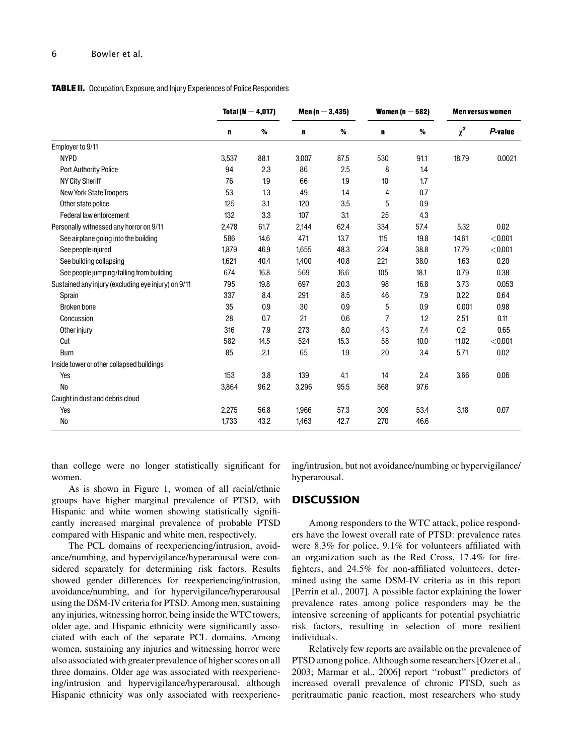#### 6 Bowler et al.

#### **TABLE II.** Occupation, Exposure, and Injury Experiences of Police Responders

|                                                     | $Total(N = 4,017)$ |      | Men ( $n = 3,435$ ) |      | Women ( $n = 582$ ) |      | <b>Men versus women</b> |         |
|-----------------------------------------------------|--------------------|------|---------------------|------|---------------------|------|-------------------------|---------|
|                                                     | n                  | %    | n                   | %    | n                   | %    | $\chi^2$                | P-value |
| Employer to 9/11                                    |                    |      |                     |      |                     |      |                         |         |
| <b>NYPD</b>                                         | 3,537              | 88.1 | 3,007               | 87.5 | 530                 | 91.1 | 18.79                   | 0.0021  |
| <b>Port Authority Police</b>                        | 94                 | 2.3  | 86                  | 2.5  | 8                   | 1.4  |                         |         |
| <b>NY City Sheriff</b>                              | 76                 | 1.9  | 66                  | 1.9  | 10                  | 1.7  |                         |         |
| New York State Troopers                             | 53                 | 1.3  | 49                  | 1.4  | 4                   | 0.7  |                         |         |
| Other state police                                  | 125                | 3.1  | 120                 | 3.5  | 5                   | 0.9  |                         |         |
| Federal law enforcement                             | 132                | 3.3  | 107                 | 3.1  | 25                  | 4.3  |                         |         |
| Personally witnessed any horror on 9/11             | 2,478              | 61.7 | 2,144               | 62.4 | 334                 | 57.4 | 5.32                    | 0.02    |
| See airplane going into the building                | 586                | 14.6 | 471                 | 13.7 | 115                 | 19.8 | 14.61                   | < 0.001 |
| See people injured                                  | 1.879              | 46.9 | 1.655               | 48.3 | 224                 | 38.8 | 17.79                   | < 0.001 |
| See building collapsing                             | 1,621              | 40.4 | 1,400               | 40.8 | 221                 | 38.0 | 1.63                    | 0.20    |
| See people jumping/falling from building            | 674                | 16.8 | 569                 | 16.6 | 105                 | 18.1 | 0.79                    | 0.38    |
| Sustained any injury (excluding eye injury) on 9/11 | 795                | 19.8 | 697                 | 20.3 | 98                  | 16.8 | 3.73                    | 0.053   |
| Sprain                                              | 337                | 8.4  | 291                 | 8.5  | 46                  | 7.9  | 0.22                    | 0.64    |
| <b>Broken bone</b>                                  | 35                 | 0.9  | 30                  | 0.9  | 5                   | 0.9  | 0.001                   | 0.98    |
| Concussion                                          | 28                 | 0.7  | 21                  | 0.6  | $\overline{7}$      | 1.2  | 2.51                    | 0.11    |
| Other injury                                        | 316                | 7.9  | 273                 | 8.0  | 43                  | 7.4  | 0.2                     | 0.65    |
| Cut                                                 | 582                | 14.5 | 524                 | 15.3 | 58                  | 10.0 | 11.02                   | < 0.001 |
| <b>Burn</b>                                         | 85                 | 2.1  | 65                  | 1.9  | 20                  | 3.4  | 5.71                    | 0.02    |
| Inside tower or other collapsed buildings           |                    |      |                     |      |                     |      |                         |         |
| Yes                                                 | 153                | 3.8  | 139                 | 4.1  | 14                  | 2.4  | 3.66                    | 0.06    |
| <b>No</b>                                           | 3,864              | 96.2 | 3,296               | 95.5 | 568                 | 97.6 |                         |         |
| Caught in dust and debris cloud                     |                    |      |                     |      |                     |      |                         |         |
| Yes                                                 | 2,275              | 56.8 | 1,966               | 57.3 | 309                 | 53.4 | 3.18                    | 0.07    |
| No                                                  | 1,733              | 43.2 | 1,463               | 42.7 | 270                 | 46.6 |                         |         |

than college were no longer statistically significant for women.

As is shown in Figure 1, women of all racial/ethnic groups have higher marginal prevalence of PTSD, with Hispanic and white women showing statistically significantly increased marginal prevalence of probable PTSD compared with Hispanic and white men, respectively.

The PCL domains of reexperiencing/intrusion, avoidance/numbing, and hypervigilance/hyperarousal were considered separately for determining risk factors. Results showed gender differences for reexperiencing/intrusion, avoidance/numbing, and for hypervigilance/hyperarousal using the DSM-IV criteria for PTSD. Among men, sustaining any injuries, witnessing horror, being inside the WTC towers, older age, and Hispanic ethnicity were significantly associated with each of the separate PCL domains. Among women, sustaining any injuries and witnessing horror were also associated with greater prevalence of higher scores on all three domains. Older age was associated with reexperiencing/intrusion and hypervigilance/hyperarousal, although Hispanic ethnicity was only associated with reexperiencing/intrusion, but not avoidance/numbing or hypervigilance/ hyperarousal.

# **DISCUSSION**

Among responders to the WTC attack, police responders have the lowest overall rate of PTSD: prevalence rates were 8.3% for police, 9.1% for volunteers affiliated with an organization such as the Red Cross, 17.4% for firefighters, and 24.5% for non-affiliated volunteers, determined using the same DSM-IV criteria as in this report [Perrin et al., 2007]. A possible factor explaining the lower prevalence rates among police responders may be the intensive screening of applicants for potential psychiatric risk factors, resulting in selection of more resilient individuals.

Relatively few reports are available on the prevalence of PTSD among police. Although some researchers [Ozer et al., 2003; Marmar et al., 2006] report ''robust'' predictors of increased overall prevalence of chronic PTSD, such as peritraumatic panic reaction, most researchers who study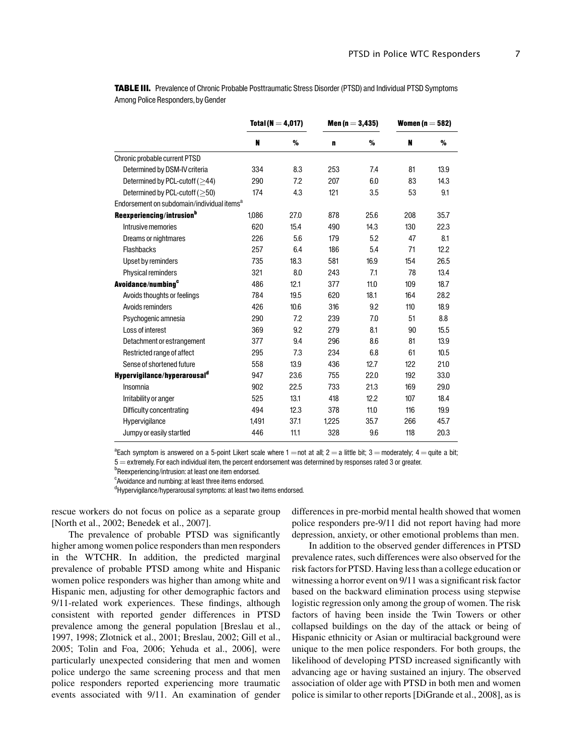|                                                        | Total ( $N = 4,017$ ) |      | Men (n $=$ 3,435) |      | Women ( $n = 582$ ) |      |
|--------------------------------------------------------|-----------------------|------|-------------------|------|---------------------|------|
|                                                        | N                     | %    | n                 | %    | N                   | %    |
| Chronic probable current PTSD                          |                       |      |                   |      |                     |      |
| Determined by DSM-IV criteria                          | 334                   | 8.3  | 253               | 7.4  | 81                  | 13.9 |
| Determined by PCL-cutoff $($ >44)                      | 290                   | 7.2  | 207               | 6.0  | 83                  | 14.3 |
| Determined by PCL-cutoff (>50)                         | 174                   | 4.3  | 121               | 3.5  | 53                  | 9.1  |
| Endorsement on subdomain/individual items <sup>a</sup> |                       |      |                   |      |                     |      |
| Reexperiencing/intrusionb                              | 1,086                 | 27.0 | 878               | 25.6 | 208                 | 35.7 |
| Intrusive memories                                     | 620                   | 15.4 | 490               | 14.3 | 130                 | 22.3 |
| Dreams or nightmares                                   | 226                   | 5.6  | 179               | 5.2  | 47                  | 8.1  |
| <b>Flashbacks</b>                                      | 257                   | 6.4  | 186               | 5.4  | 71                  | 12.2 |
| Upset by reminders                                     | 735                   | 18.3 | 581               | 16.9 | 154                 | 26.5 |
| Physical reminders                                     | 321                   | 8.0  | 243               | 7.1  | 78                  | 13.4 |
| Avoidance/numbing <sup>c</sup>                         | 486                   | 12.1 | 377               | 11.0 | 109                 | 18.7 |
| Avoids thoughts or feelings                            | 784                   | 19.5 | 620               | 18.1 | 164                 | 28.2 |
| Avoids reminders                                       | 426                   | 10.6 | 316               | 9.2  | 110                 | 18.9 |
| Psychogenic amnesia                                    | 290                   | 7.2  | 239               | 7.0  | 51                  | 8.8  |
| Loss of interest                                       | 369                   | 9.2  | 279               | 8.1  | 90                  | 15.5 |
| Detachment or estrangement                             | 377                   | 9.4  | 296               | 8.6  | 81                  | 13.9 |
| Restricted range of affect                             | 295                   | 7.3  | 234               | 6.8  | 61                  | 10.5 |
| Sense of shortened future                              | 558                   | 13.9 | 436               | 12.7 | 122                 | 21.0 |
| Hypervigilance/hyperarousal <sup>a</sup>               | 947                   | 23.6 | 755               | 22.0 | 192                 | 33.0 |
| Insomnia                                               | 902                   | 22.5 | 733               | 21.3 | 169                 | 29.0 |
| Irritability or anger                                  | 525                   | 13.1 | 418               | 12.2 | 107                 | 18.4 |
| Difficulty concentrating                               | 494                   | 12.3 | 378               | 11.0 | 116                 | 19.9 |
| Hypervigilance                                         | 1,491                 | 37.1 | 1,225             | 35.7 | 266                 | 45.7 |
| Jumpy or easily startled                               | 446                   | 11.1 | 328               | 9.6  | 118                 | 20.3 |

TABLE III. Prevalence of Chronic Probable Posttraumatic Stress Disorder (PTSD) and Individual PTSD Symptoms Among Police Responders, by Gender

<sup>a</sup>Each symptom is answered on a 5-point Likert scale where 1  $=$  not at all; 2  $=$  a little bit; 3  $=$  moderately; 4  $=$  quite a bit;  $5$  = extremely. For each individual item, the percent endorsement was determined by responses rated 3 or greater.

*b***Reexperiencing/intrusion: at least one item endorsed.** 

<sup>c</sup> Avoidance and numbing: at least three items endorsed.

<sup>d</sup>Hypervigilance/hyperarousal symptoms: at least two items endorsed.

rescue workers do not focus on police as a separate group [North et al., 2002; Benedek et al., 2007].

The prevalence of probable PTSD was significantly higher among women police responders than men responders in the WTCHR. In addition, the predicted marginal prevalence of probable PTSD among white and Hispanic women police responders was higher than among white and Hispanic men, adjusting for other demographic factors and 9/11-related work experiences. These findings, although consistent with reported gender differences in PTSD prevalence among the general population [Breslau et al., 1997, 1998; Zlotnick et al., 2001; Breslau, 2002; Gill et al., 2005; Tolin and Foa, 2006; Yehuda et al., 2006], were particularly unexpected considering that men and women police undergo the same screening process and that men police responders reported experiencing more traumatic events associated with 9/11. An examination of gender differences in pre-morbid mental health showed that women police responders pre-9/11 did not report having had more depression, anxiety, or other emotional problems than men.

In addition to the observed gender differences in PTSD prevalence rates, such differences were also observed for the risk factors for PTSD. Having less than a college education or witnessing a horror event on 9/11 was a significant risk factor based on the backward elimination process using stepwise logistic regression only among the group of women. The risk factors of having been inside the Twin Towers or other collapsed buildings on the day of the attack or being of Hispanic ethnicity or Asian or multiracial background were unique to the men police responders. For both groups, the likelihood of developing PTSD increased significantly with advancing age or having sustained an injury. The observed association of older age with PTSD in both men and women police is similar to other reports [DiGrande et al., 2008], as is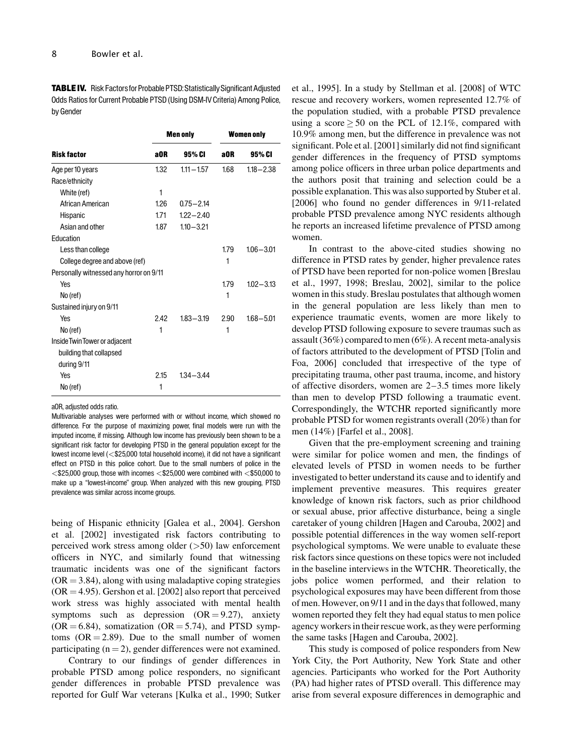**TABLE IV.** Risk Factors for Probable PTSD: Statistically Significant Adjusted Odds Ratios for Current Probable PTSD (Using DSM-IV Criteria) Among Police, by Gender

|                                         |      | <b>Men only</b> | <b>Women only</b> |               |  |
|-----------------------------------------|------|-----------------|-------------------|---------------|--|
| <b>Risk factor</b>                      | a0R  | 95% CI          | a0R               | 95% CI        |  |
| Age per 10 years                        | 1.32 | $1.11 - 1.57$   | 1.68              | $1.18 - 2.38$ |  |
| Race/ethnicity                          |      |                 |                   |               |  |
| White (ref)                             | 1    |                 |                   |               |  |
| African American                        | 1.26 | $0.75 - 2.14$   |                   |               |  |
| Hispanic                                | 1.71 | $1.22 - 2.40$   |                   |               |  |
| Asian and other                         | 1.87 | $1.10 - 3.21$   |                   |               |  |
| Education                               |      |                 |                   |               |  |
| Less than college                       |      |                 | 1.79              | $1.06 - 3.01$ |  |
| College degree and above (ref)          |      |                 | 1                 |               |  |
| Personally witnessed any horror on 9/11 |      |                 |                   |               |  |
| Yes                                     |      |                 | 1.79              | $1.02 - 3.13$ |  |
| No (ref)                                |      |                 | 1                 |               |  |
| Sustained injury on 9/11                |      |                 |                   |               |  |
| Yes                                     | 242  | $1.83 - 3.19$   | 2.90              | $1.68 - 5.01$ |  |
| No (ref)                                | 1    |                 | 1                 |               |  |
| Inside Twin Tower or adjacent           |      |                 |                   |               |  |
| building that collapsed                 |      |                 |                   |               |  |
| during 9/11                             |      |                 |                   |               |  |
| Yes                                     | 2.15 | $1.34 - 3.44$   |                   |               |  |
| No (ref)                                | 1    |                 |                   |               |  |

aOR, adjusted odds ratio.

Multivariable analyses were performed with or without income, which showed no difference. For the purpose of maximizing power, final models were run with the imputed income, if missing. Although low income has previously been shown to be a significant risk factor for developing PTSD in the general population except for the lowest income level (<\$25,000 total household income), it did not have a significant effect on PTSD in this police cohort. Due to the small numbers of police in the  $<$ \$25,000 group, those with incomes  $<$  \$25,000 were combined with  $<$  \$50,000 to make up a ''lowest-income'' group. When analyzed with this new grouping, PTSD prevalence was similar across income groups.

being of Hispanic ethnicity [Galea et al., 2004]. Gershon et al. [2002] investigated risk factors contributing to perceived work stress among older (>50) law enforcement officers in NYC, and similarly found that witnessing traumatic incidents was one of the significant factors  $(OR = 3.84)$ , along with using maladaptive coping strategies  $(OR = 4.95)$ . Gershon et al. [2002] also report that perceived work stress was highly associated with mental health symptoms such as depression  $(OR = 9.27)$ , anxiety  $(OR = 6.84)$ , somatization  $(OR = 5.74)$ , and PTSD symptoms  $(OR = 2.89)$ . Due to the small number of women participating  $(n = 2)$ , gender differences were not examined.

Contrary to our findings of gender differences in probable PTSD among police responders, no significant gender differences in probable PTSD prevalence was reported for Gulf War veterans [Kulka et al., 1990; Sutker et al., 1995]. In a study by Stellman et al. [2008] of WTC rescue and recovery workers, women represented 12.7% of the population studied, with a probable PTSD prevalence using a score  $\geq 50$  on the PCL of 12.1%, compared with 10.9% among men, but the difference in prevalence was not significant. Pole et al. [2001] similarly did not find significant gender differences in the frequency of PTSD symptoms among police officers in three urban police departments and the authors posit that training and selection could be a possible explanation. This was also supported by Stuber et al. [2006] who found no gender differences in 9/11-related probable PTSD prevalence among NYC residents although he reports an increased lifetime prevalence of PTSD among women.

In contrast to the above-cited studies showing no difference in PTSD rates by gender, higher prevalence rates of PTSD have been reported for non-police women [Breslau et al., 1997, 1998; Breslau, 2002], similar to the police women in this study. Breslau postulates that although women in the general population are less likely than men to experience traumatic events, women are more likely to develop PTSD following exposure to severe traumas such as assault (36%) compared to men (6%). A recent meta-analysis of factors attributed to the development of PTSD [Tolin and Foa, 2006] concluded that irrespective of the type of precipitating trauma, other past trauma, income, and history of affective disorders, women are 2–3.5 times more likely than men to develop PTSD following a traumatic event. Correspondingly, the WTCHR reported significantly more probable PTSD for women registrants overall (20%) than for men (14%) [Farfel et al., 2008].

Given that the pre-employment screening and training were similar for police women and men, the findings of elevated levels of PTSD in women needs to be further investigated to better understand its cause and to identify and implement preventive measures. This requires greater knowledge of known risk factors, such as prior childhood or sexual abuse, prior affective disturbance, being a single caretaker of young children [Hagen and Carouba, 2002] and possible potential differences in the way women self-report psychological symptoms. We were unable to evaluate these risk factors since questions on these topics were not included in the baseline interviews in the WTCHR. Theoretically, the jobs police women performed, and their relation to psychological exposures may have been different from those of men. However, on 9/11 and in the days that followed, many women reported they felt they had equal status to men police agency workers in their rescue work, as they were performing the same tasks [Hagen and Carouba, 2002].

This study is composed of police responders from New York City, the Port Authority, New York State and other agencies. Participants who worked for the Port Authority (PA) had higher rates of PTSD overall. This difference may arise from several exposure differences in demographic and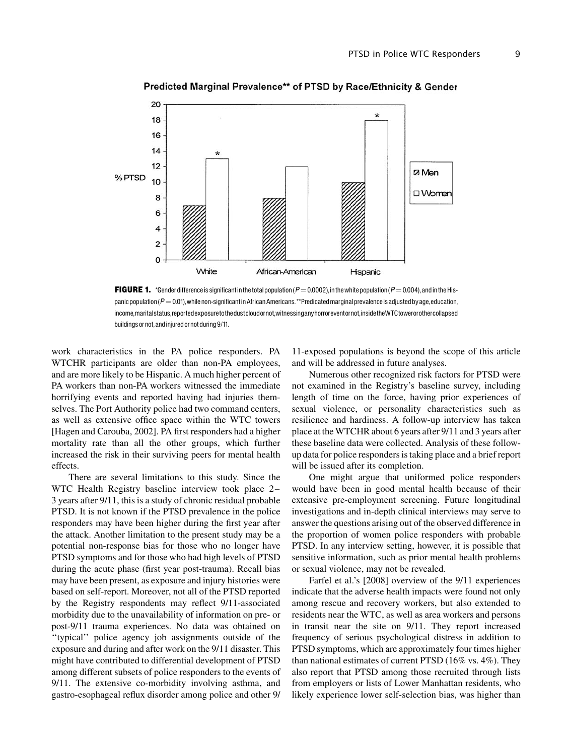

Predicted Marginal Prevalence\*\* of PTSD by Race/Ethnicity & Gender

FIGURE 1. \*Gender difference is significant in the total population ( $P = 0.0002$ ), in the white population ( $P = 0.004$ ), and in the Hispanic population ( $P = 0.01$ ), while non-significant in African Americans.\*\*Predicated marginal prevalence is adjusted by age, education, income,maritalstatus,reportedexposuretothedustcloudornot,witnessinganyhorroreventornot,insidetheWTCtowerorothercollapsed buildings or not, and injured or not during 9/11.

work characteristics in the PA police responders. PA WTCHR participants are older than non-PA employees, and are more likely to be Hispanic. A much higher percent of PA workers than non-PA workers witnessed the immediate horrifying events and reported having had injuries themselves. The Port Authority police had two command centers, as well as extensive office space within the WTC towers [Hagen and Carouba, 2002]. PA first responders had a higher mortality rate than all the other groups, which further increased the risk in their surviving peers for mental health effects.

There are several limitations to this study. Since the WTC Health Registry baseline interview took place 2– 3 years after 9/11, this is a study of chronic residual probable PTSD. It is not known if the PTSD prevalence in the police responders may have been higher during the first year after the attack. Another limitation to the present study may be a potential non-response bias for those who no longer have PTSD symptoms and for those who had high levels of PTSD during the acute phase (first year post-trauma). Recall bias may have been present, as exposure and injury histories were based on self-report. Moreover, not all of the PTSD reported by the Registry respondents may reflect 9/11-associated morbidity due to the unavailability of information on pre- or post-9/11 trauma experiences. No data was obtained on ''typical'' police agency job assignments outside of the exposure and during and after work on the 9/11 disaster. This might have contributed to differential development of PTSD among different subsets of police responders to the events of 9/11. The extensive co-morbidity involving asthma, and gastro-esophageal reflux disorder among police and other 9/

11-exposed populations is beyond the scope of this article and will be addressed in future analyses.

Numerous other recognized risk factors for PTSD were not examined in the Registry's baseline survey, including length of time on the force, having prior experiences of sexual violence, or personality characteristics such as resilience and hardiness. A follow-up interview has taken place at the WTCHR about 6 years after 9/11 and 3 years after these baseline data were collected. Analysis of these followup data for police responders is taking place and a brief report will be issued after its completion.

One might argue that uniformed police responders would have been in good mental health because of their extensive pre-employment screening. Future longitudinal investigations and in-depth clinical interviews may serve to answer the questions arising out of the observed difference in the proportion of women police responders with probable PTSD. In any interview setting, however, it is possible that sensitive information, such as prior mental health problems or sexual violence, may not be revealed.

Farfel et al.'s [2008] overview of the 9/11 experiences indicate that the adverse health impacts were found not only among rescue and recovery workers, but also extended to residents near the WTC, as well as area workers and persons in transit near the site on 9/11. They report increased frequency of serious psychological distress in addition to PTSD symptoms, which are approximately four times higher than national estimates of current PTSD (16% vs. 4%). They also report that PTSD among those recruited through lists from employers or lists of Lower Manhattan residents, who likely experience lower self-selection bias, was higher than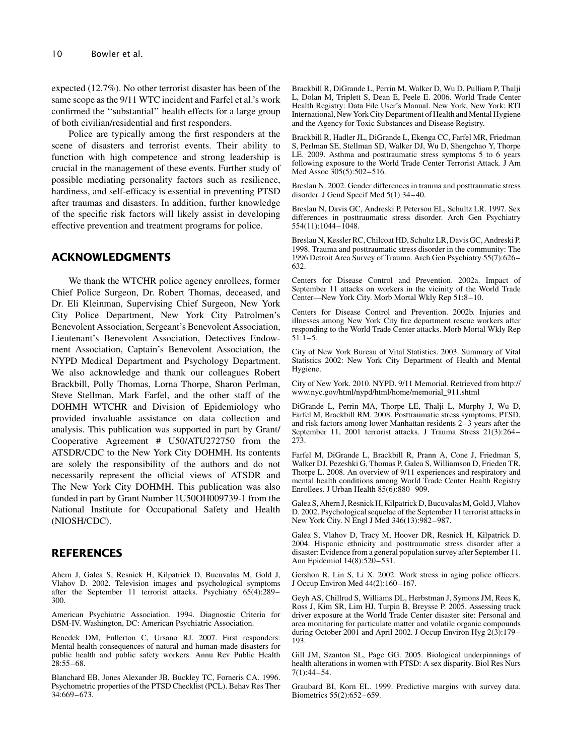expected (12.7%). No other terrorist disaster has been of the same scope as the 9/11 WTC incident and Farfel et al.'s work confirmed the ''substantial'' health effects for a large group of both civilian/residential and first responders.

Police are typically among the first responders at the scene of disasters and terrorist events. Their ability to function with high competence and strong leadership is crucial in the management of these events. Further study of possible mediating personality factors such as resilience, hardiness, and self-efficacy is essential in preventing PTSD after traumas and disasters. In addition, further knowledge of the specific risk factors will likely assist in developing effective prevention and treatment programs for police.

## ACKNOWLEDGMENTS

We thank the WTCHR police agency enrollees, former Chief Police Surgeon, Dr. Robert Thomas, deceased, and Dr. Eli Kleinman, Supervising Chief Surgeon, New York City Police Department, New York City Patrolmen's Benevolent Association, Sergeant's Benevolent Association, Lieutenant's Benevolent Association, Detectives Endowment Association, Captain's Benevolent Association, the NYPD Medical Department and Psychology Department. We also acknowledge and thank our colleagues Robert Brackbill, Polly Thomas, Lorna Thorpe, Sharon Perlman, Steve Stellman, Mark Farfel, and the other staff of the DOHMH WTCHR and Division of Epidemiology who provided invaluable assistance on data collection and analysis. This publication was supported in part by Grant/ Cooperative Agreement # U50/ATU272750 from the ATSDR/CDC to the New York City DOHMH. Its contents are solely the responsibility of the authors and do not necessarily represent the official views of ATSDR and The New York City DOHMH. This publication was also funded in part by Grant Number 1U50OH009739-1 from the National Institute for Occupational Safety and Health (NIOSH/CDC).

### REFERENCES

Ahern J, Galea S, Resnick H, Kilpatrick D, Bucuvalas M, Gold J, Vlahov D. 2002. Television images and psychological symptoms after the September 11 terrorist attacks. Psychiatry 65(4):289– 300.

American Psychiatric Association. 1994. Diagnostic Criteria for DSM-IV. Washington, DC: American Psychiatric Association.

Benedek DM, Fullerton C, Ursano RJ. 2007. First responders: Mental health consequences of natural and human-made disasters for public health and public safety workers. Annu Rev Public Health 28:55–68.

Blanchard EB, Jones Alexander JB, Buckley TC, Forneris CA. 1996. Psychometric properties of the PTSD Checklist (PCL). Behav Res Ther 34:669–673.

Brackbill R, DiGrande L, Perrin M, Walker D, Wu D, Pulliam P, Thalji L, Dolan M, Triplett S, Dean E, Peele E. 2006. World Trade Center Health Registry: Data File User's Manual. New York, New York: RTI International, New York City Department of Health and Mental Hygiene and the Agency for Toxic Substances and Disease Registry.

Brackbill R, Hadler JL, DiGrande L, Ekenga CC, Farfel MR, Friedman S, Perlman SE, Stellman SD, Walker DJ, Wu D, Shengchao Y, Thorpe LE. 2009. Asthma and posttraumatic stress symptoms 5 to 6 years following exposure to the World Trade Center Terrorist Attack. J Am Med Assoc 305(5):502–516.

Breslau N. 2002. Gender differences in trauma and posttraumatic stress disorder. J Gend Specif Med 5(1):34–40.

Breslau N, Davis GC, Andreski P, Peterson EL, Schultz LR. 1997. Sex differences in posttraumatic stress disorder. Arch Gen Psychiatry 554(11):1044–1048.

Breslau N, Kessler RC, Chilcoat HD, Schultz LR, Davis GC, Andreski P. 1998. Trauma and posttraumatic stress disorder in the community: The 1996 Detroit Area Survey of Trauma. Arch Gen Psychiatry 55(7):626– 632.

Centers for Disease Control and Prevention. 2002a. Impact of September 11 attacks on workers in the vicinity of the World Trade Center—New York City. Morb Mortal Wkly Rep 51:8–10.

Centers for Disease Control and Prevention. 2002b. Injuries and illnesses among New York City fire department rescue workers after responding to the World Trade Center attacks. Morb Mortal Wkly Rep 51:1–5.

City of New York Bureau of Vital Statistics. 2003. Summary of Vital Statistics 2002: New York City Department of Health and Mental Hygiene.

City of New York. 2010. NYPD. 9/11 Memorial. Retrieved from http:// www.nyc.gov/html/nypd/html/home/memorial\_911.shtml

DiGrande L, Perrin MA, Thorpe LE, Thalji L, Murphy J, Wu D, Farfel M, Brackbill RM. 2008. Posttraumatic stress symptoms, PTSD, and risk factors among lower Manhattan residents 2–3 years after the September 11, 2001 terrorist attacks. J Trauma Stress 21(3):264– 273.

Farfel M, DiGrande L, Brackbill R, Prann A, Cone J, Friedman S, Walker DJ, Pezeshki G, Thomas P, Galea S, Williamson D, Frieden TR, Thorpe L. 2008. An overview of 9/11 experiences and respiratory and mental health conditions among World Trade Center Health Registry Enrollees. J Urban Health 85(6):880–909.

Galea S, Ahern J, Resnick H, Kilpatrick D, Bucuvalas M, Gold J, Vlahov D. 2002. Psychological sequelae of the September 11 terrorist attacks in New York City. N Engl J Med 346(13):982–987.

Galea S, Vlahov D, Tracy M, Hoover DR, Resnick H, Kilpatrick D. 2004. Hispanic ethnicity and posttraumatic stress disorder after a disaster: Evidence from a general population survey after September 11. Ann Epidemiol 14(8):520–531.

Gershon R, Lin S, Li X. 2002. Work stress in aging police officers. J Occup Environ Med 44(2):160–167.

Geyh AS, Chillrud S, Williams DL, Herbstman J, Symons JM, Rees K, Ross J, Kim SR, Lim HJ, Turpin B, Breysse P. 2005. Assessing truck driver exposure at the World Trade Center disaster site: Personal and area monitoring for particulate matter and volatile organic compounds during October 2001 and April 2002. J Occup Environ Hyg 2(3):179– 193.

Gill JM, Szanton SL, Page GG. 2005. Biological underpinnings of health alterations in women with PTSD: A sex disparity. Biol Res Nurs 7(1):44–54.

Graubard BI, Korn EL. 1999. Predictive margins with survey data. Biometrics 55(2):652–659.